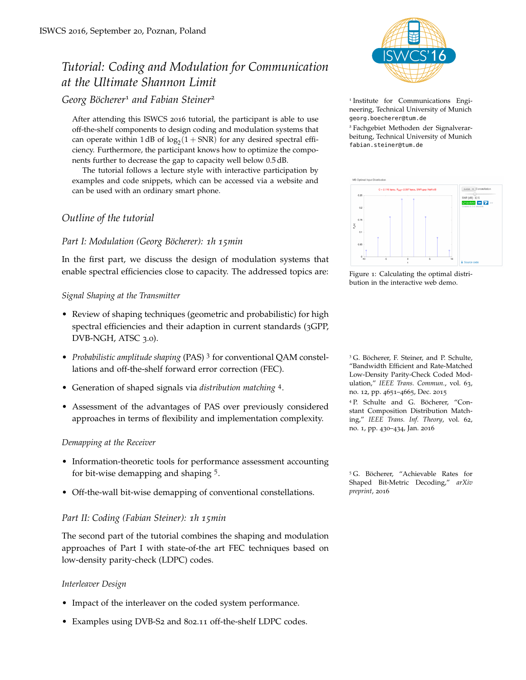# *Tutorial: Coding and Modulation for Communication at the Ultimate Shannon Limit*

*Georg Böcherer*<sup>1</sup> *and Fabian Steiner*<sup>2</sup> <sup>1</sup>

After attending this ISWCS 2016 tutorial, the participant is able to use off-the-shelf components to design coding and modulation systems that can operate within  $1\,\text{dB}$  of  $\log_2(1 + \text{SNR})$  for any desired spectral efficiency. Furthermore, the participant knows how to optimize the components further to decrease the gap to capacity well below 0.5 dB.

The tutorial follows a lecture style with interactive participation by examples and code snippets, which can be accessed via a website and can be used with an ordinary smart phone.

# *Outline of the tutorial*

# *Part I: Modulation (Georg Böcherer): 1h 15min*

In the first part, we discuss the design of modulation systems that enable spectral efficiencies close to capacity. The addressed topics are:

## *Signal Shaping at the Transmitter*

- Review of shaping techniques (geometric and probabilistic) for high spectral efficiencies and their adaption in current standards (3GPP, DVB-NGH, ATSC 3.0).
- *Probabilistic amplitude shaping* (PAS)<sup>3</sup> for conventional QAM constellations and off-the-shelf forward error correction (FEC).
- Generation of shaped signals via *distribution matching* <sup>4</sup> .
- Assessment of the advantages of PAS over previously considered approaches in terms of flexibility and implementation complexity.

### *Demapping at the Receiver*

- Information-theoretic tools for performance assessment accounting for bit-wise demapping and shaping <sup>5</sup> .
- Off-the-wall bit-wise demapping of conventional constellations. *preprint*, <sup>2016</sup>

## *Part II: Coding (Fabian Steiner): 1h 15min*

The second part of the tutorial combines the shaping and modulation approaches of Part I with state-of-the art FEC techniques based on low-density parity-check (LDPC) codes.

### *Interleaver Design*

- Impact of the interleaver on the coded system performance.
- Examples using DVB-S2 and 802.11 off-the-shelf LDPC codes.



<sup>1</sup> Institute for Communications Engineering, Technical University of Munich <georg.boecherer@tum.de>

<sup>2</sup> Fachgebiet Methoden der Signalverarbeitung, Technical University of Munich <fabian.steiner@tum.de>



Figure 1: Calculating the optimal distribution in the interactive web demo.

<sup>3</sup> G. Böcherer, F. Steiner, and P. Schulte, "Bandwidth Efficient and Rate-Matched Low-Density Parity-Check Coded Modulation," *IEEE Trans. Commun.*, vol. 63, no. 12, pp. 4651–4665, Dec. 2015

<sup>4</sup> P. Schulte and G. Böcherer, "Constant Composition Distribution Matching," *IEEE Trans. Inf. Theory*, vol. 62, no. 1, pp. 430–434, Jan. 2016

<sup>5</sup> G. Böcherer, "Achievable Rates for Shaped Bit-Metric Decoding," *arXiv*